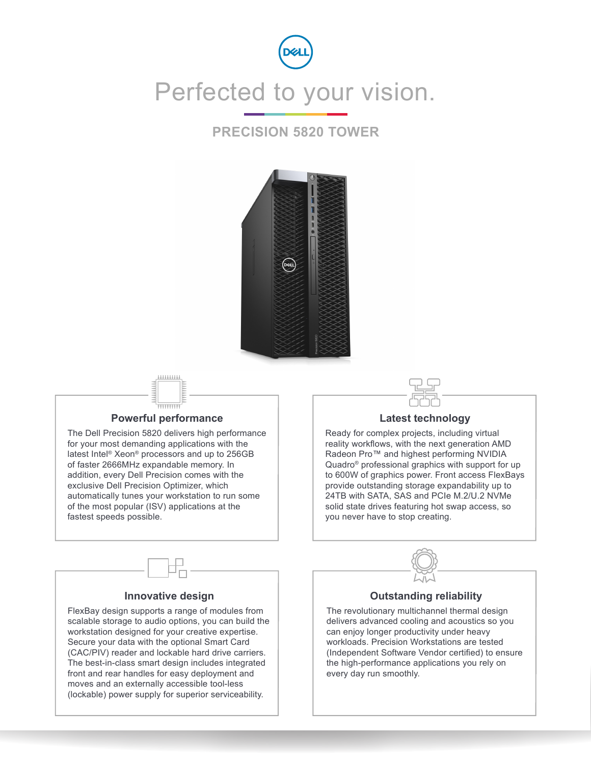

### **PRECISION 5820 TOWER**



\*\*\*\*\*\*\*\*\*\*

### **Powerful performance**

The Dell Precision 5820 delivers high performance for your most demanding applications with the latest Intel® Xeon® processors and up to 256GB of faster 2666MHz expandable memory. In addition, every Dell Precision comes with the exclusive Dell Precision Optimizer, which automatically tunes your workstation to run some of the most popular (ISV) applications at the fastest speeds possible.

#### **Latest technology**

Ready for complex projects, including virtual reality workflows, with the next generation AMD Radeon Pro™ and highest performing NVIDIA Quadro® professional graphics with support for up to 600W of graphics power. Front access FlexBays provide outstanding storage expandability up to 24TB with SATA, SAS and PCIe M.2/U.2 NVMe solid state drives featuring hot swap access, so you never have to stop creating.



### **Outstanding reliability**

The revolutionary multichannel thermal design delivers advanced cooling and acoustics so you can enjoy longer productivity under heavy workloads. Precision Workstations are tested (Independent Software Vendor certified) to ensure the high-performance applications you rely on every day run smoothly.

#### **Innovative design**

FlexBay design supports a range of modules from scalable storage to audio options, you can build the workstation designed for your creative expertise. Secure your data with the optional Smart Card (CAC/PIV) reader and lockable hard drive carriers. The best-in-class smart design includes integrated front and rear handles for easy deployment and moves and an externally accessible tool-less (lockable) power supply for superior serviceability.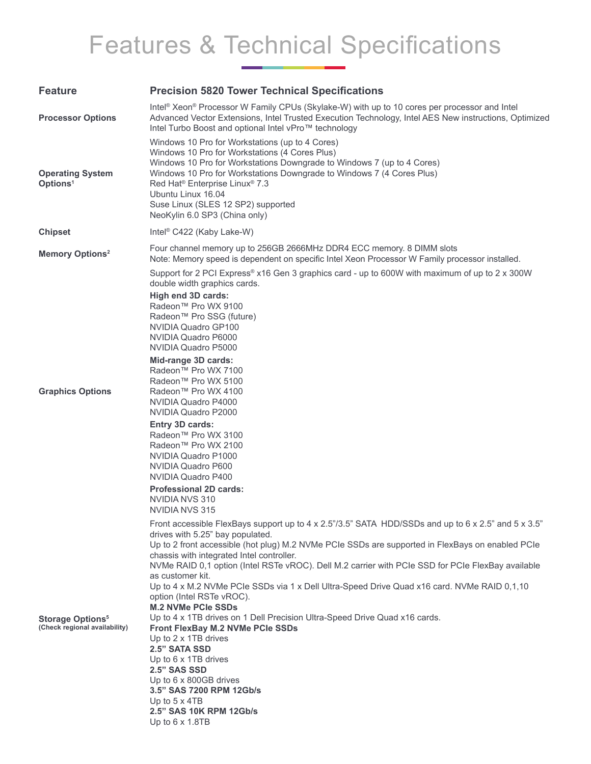# Features & Technical Specifications

| <b>Feature</b>                                                      | <b>Precision 5820 Tower Technical Specifications</b>                                                                                                                                                                                                                                                                                                                                                                                                                                                                                                                                                                                                                                                                                                                                                                                                                                                      |
|---------------------------------------------------------------------|-----------------------------------------------------------------------------------------------------------------------------------------------------------------------------------------------------------------------------------------------------------------------------------------------------------------------------------------------------------------------------------------------------------------------------------------------------------------------------------------------------------------------------------------------------------------------------------------------------------------------------------------------------------------------------------------------------------------------------------------------------------------------------------------------------------------------------------------------------------------------------------------------------------|
| <b>Processor Options</b>                                            | Intel® Xeon® Processor W Family CPUs (Skylake-W) with up to 10 cores per processor and Intel<br>Advanced Vector Extensions, Intel Trusted Execution Technology, Intel AES New instructions, Optimized<br>Intel Turbo Boost and optional Intel vPro™ technology                                                                                                                                                                                                                                                                                                                                                                                                                                                                                                                                                                                                                                            |
| <b>Operating System</b><br>Options <sup>1</sup>                     | Windows 10 Pro for Workstations (up to 4 Cores)<br>Windows 10 Pro for Workstations (4 Cores Plus)<br>Windows 10 Pro for Workstations Downgrade to Windows 7 (up to 4 Cores)<br>Windows 10 Pro for Workstations Downgrade to Windows 7 (4 Cores Plus)<br>Red Hat <sup>®</sup> Enterprise Linux <sup>®</sup> 7.3<br>Ubuntu Linux 16.04<br>Suse Linux (SLES 12 SP2) supported<br>NeoKylin 6.0 SP3 (China only)                                                                                                                                                                                                                                                                                                                                                                                                                                                                                               |
| <b>Chipset</b>                                                      | Intel <sup>®</sup> C422 (Kaby Lake-W)                                                                                                                                                                                                                                                                                                                                                                                                                                                                                                                                                                                                                                                                                                                                                                                                                                                                     |
| <b>Memory Options<sup>2</sup></b>                                   | Four channel memory up to 256GB 2666MHz DDR4 ECC memory. 8 DIMM slots<br>Note: Memory speed is dependent on specific Intel Xeon Processor W Family processor installed.                                                                                                                                                                                                                                                                                                                                                                                                                                                                                                                                                                                                                                                                                                                                   |
| <b>Graphics Options</b>                                             | Support for 2 PCI Express® x16 Gen 3 graphics card - up to 600W with maximum of up to 2 x 300W<br>double width graphics cards.<br>High end 3D cards:<br>Radeon™ Pro WX 9100<br>Radeon™ Pro SSG (future)<br>NVIDIA Quadro GP100<br>NVIDIA Quadro P6000<br>NVIDIA Quadro P5000<br>Mid-range 3D cards:<br>Radeon™ Pro WX 7100<br>Radeon™ Pro WX 5100<br>Radeon™ Pro WX 4100<br>NVIDIA Quadro P4000<br>NVIDIA Quadro P2000<br>Entry 3D cards:<br>Radeon™ Pro WX 3100<br>Radeon™ Pro WX 2100<br>NVIDIA Quadro P1000<br>NVIDIA Quadro P600<br>NVIDIA Quadro P400<br><b>Professional 2D cards:</b><br>NVIDIA NVS 310<br>NVIDIA NVS 315                                                                                                                                                                                                                                                                           |
| <b>Storage Options<sup>5</sup></b><br>(Check regional availability) | Front accessible FlexBays support up to 4 x 2.5"/3.5" SATA HDD/SSDs and up to 6 x 2.5" and 5 x 3.5"<br>drives with 5.25" bay populated.<br>Up to 2 front accessible (hot plug) M.2 NVMe PCIe SSDs are supported in FlexBays on enabled PCIe<br>chassis with integrated Intel controller.<br>NVMe RAID 0,1 option (Intel RSTe vROC). Dell M.2 carrier with PCIe SSD for PCIe FlexBay available<br>as customer kit.<br>Up to 4 x M.2 NVMe PCIe SSDs via 1 x Dell Ultra-Speed Drive Quad x16 card. NVMe RAID 0,1,10<br>option (Intel RSTe vROC).<br><b>M.2 NVMe PCIe SSDs</b><br>Up to 4 x 1TB drives on 1 Dell Precision Ultra-Speed Drive Quad x16 cards.<br>Front FlexBay M.2 NVMe PCle SSDs<br>Up to 2 x 1TB drives<br>2.5" SATA SSD<br>Up to 6 x 1TB drives<br>2.5" SAS SSD<br>Up to 6 x 800GB drives<br>3.5" SAS 7200 RPM 12Gb/s<br>Up to $5 \times 4TB$<br>2.5" SAS 10K RPM 12Gb/s<br>Up to 6 x 1.8TB |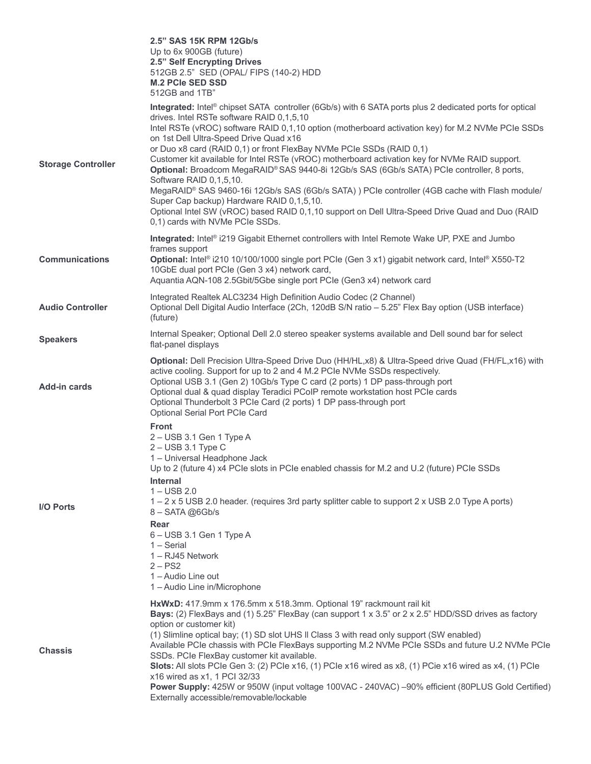|                           | 2.5" SAS 15K RPM 12Gb/s<br>Up to 6x 900GB (future)<br>2.5" Self Encrypting Drives<br>512GB 2.5" SED (OPAL/ FIPS (140-2) HDD<br><b>M.2 PCIe SED SSD</b><br>512GB and 1TB"                                                                                                                                                                                                                                                                                                                                                                                                                                                                                                                                                                                                                                                                                                                    |
|---------------------------|---------------------------------------------------------------------------------------------------------------------------------------------------------------------------------------------------------------------------------------------------------------------------------------------------------------------------------------------------------------------------------------------------------------------------------------------------------------------------------------------------------------------------------------------------------------------------------------------------------------------------------------------------------------------------------------------------------------------------------------------------------------------------------------------------------------------------------------------------------------------------------------------|
| <b>Storage Controller</b> | Integrated: Intel® chipset SATA controller (6Gb/s) with 6 SATA ports plus 2 dedicated ports for optical<br>drives. Intel RSTe software RAID 0,1,5,10<br>Intel RSTe (vROC) software RAID 0,1,10 option (motherboard activation key) for M.2 NVMe PCIe SSDs<br>on 1st Dell Ultra-Speed Drive Quad x16<br>or Duo x8 card (RAID 0,1) or front FlexBay NVMe PCIe SSDs (RAID 0,1)<br>Customer kit available for Intel RSTe (vROC) motherboard activation key for NVMe RAID support.<br>Optional: Broadcom MegaRAID® SAS 9440-8i 12Gb/s SAS (6Gb/s SATA) PCIe controller, 8 ports,<br>Software RAID 0,1,5,10.<br>MegaRAID® SAS 9460-16i 12Gb/s SAS (6Gb/s SATA) ) PCIe controller (4GB cache with Flash module/<br>Super Cap backup) Hardware RAID 0,1,5,10.<br>Optional Intel SW (vROC) based RAID 0,1,10 support on Dell Ultra-Speed Drive Quad and Duo (RAID<br>0,1) cards with NVMe PCIe SSDs. |
| <b>Communications</b>     | Integrated: Intel® i219 Gigabit Ethernet controllers with Intel Remote Wake UP, PXE and Jumbo<br>frames support<br>Optional: Intel® i210 10/100/1000 single port PCle (Gen 3 x1) gigabit network card, Intel® X550-T2<br>10GbE dual port PCIe (Gen 3 x4) network card,<br>Aquantia AQN-108 2.5Gbit/5Gbe single port PCIe (Gen3 x4) network card                                                                                                                                                                                                                                                                                                                                                                                                                                                                                                                                             |
| <b>Audio Controller</b>   | Integrated Realtek ALC3234 High Definition Audio Codec (2 Channel)<br>Optional Dell Digital Audio Interface (2Ch, 120dB S/N ratio - 5.25" Flex Bay option (USB interface)<br>(future)                                                                                                                                                                                                                                                                                                                                                                                                                                                                                                                                                                                                                                                                                                       |
| <b>Speakers</b>           | Internal Speaker; Optional Dell 2.0 stereo speaker systems available and Dell sound bar for select<br>flat-panel displays                                                                                                                                                                                                                                                                                                                                                                                                                                                                                                                                                                                                                                                                                                                                                                   |
| Add-in cards              | Optional: Dell Precision Ultra-Speed Drive Duo (HH/HL,x8) & Ultra-Speed drive Quad (FH/FL,x16) with<br>active cooling. Support for up to 2 and 4 M.2 PCIe NVMe SSDs respectively.<br>Optional USB 3.1 (Gen 2) 10Gb/s Type C card (2 ports) 1 DP pass-through port<br>Optional dual & quad display Teradici PCoIP remote workstation host PCIe cards<br>Optional Thunderbolt 3 PCIe Card (2 ports) 1 DP pass-through port<br>Optional Serial Port PCIe Card                                                                                                                                                                                                                                                                                                                                                                                                                                  |
| <b>I/O Ports</b>          | <b>Front</b><br>2 - USB 3.1 Gen 1 Type A<br>$2 -$ USB 3.1 Type C<br>1 - Universal Headphone Jack<br>Up to 2 (future 4) x4 PCIe slots in PCIe enabled chassis for M.2 and U.2 (future) PCIe SSDs<br><b>Internal</b><br>$1 -$ USB 2.0<br>1 – 2 x 5 USB 2.0 header. (requires 3rd party splitter cable to support 2 x USB 2.0 Type A ports)<br>$8 - \text{SATA} \text{ @6Gb/s}$<br>Rear<br>6 - USB 3.1 Gen 1 Type A<br>$1 -$ Serial<br>1 - RJ45 Network<br>$2 - PS2$<br>1 - Audio Line out<br>1 - Audio Line in/Microphone                                                                                                                                                                                                                                                                                                                                                                     |
| <b>Chassis</b>            | HxWxD: 417.9mm x 176.5mm x 518.3mm. Optional 19" rackmount rail kit<br>Bays: (2) FlexBays and (1) 5.25" FlexBay (can support 1 x 3.5" or 2 x 2.5" HDD/SSD drives as factory<br>option or customer kit)<br>(1) Slimline optical bay; (1) SD slot UHS II Class 3 with read only support (SW enabled)<br>Available PCIe chassis with PCIe FlexBays supporting M.2 NVMe PCIe SSDs and future U.2 NVMe PCIe<br>SSDs. PCIe FlexBay customer kit available.<br>Slots: All slots PCIe Gen 3: (2) PCIe x16, (1) PCIe x16 wired as x8, (1) PCie x16 wired as x4, (1) PCIe<br>x16 wired as x1, 1 PCI 32/33<br>Power Supply: 425W or 950W (input voltage 100VAC - 240VAC) -90% efficient (80PLUS Gold Certified)<br>Externally accessible/removable/lockable                                                                                                                                            |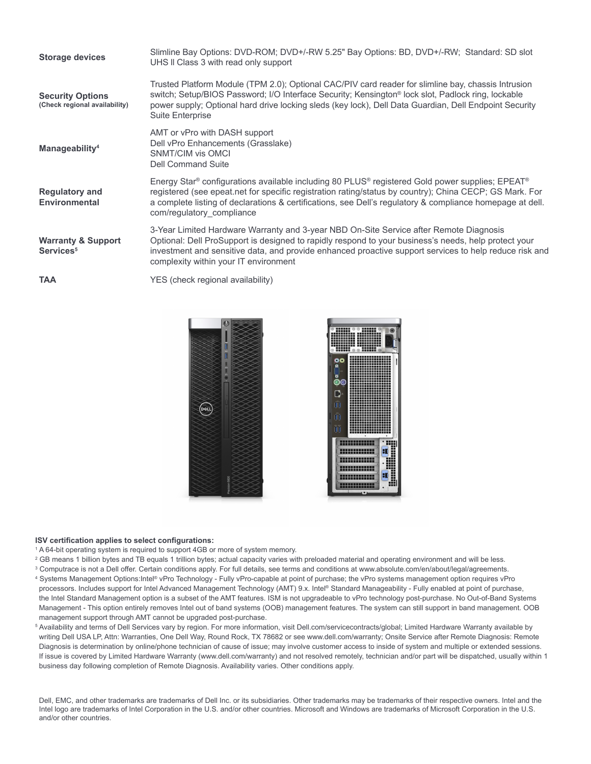| <b>Storage devices</b>                                   | Slimline Bay Options: DVD-ROM; DVD+/-RW 5.25" Bay Options: BD, DVD+/-RW; Standard: SD slot<br>UHS II Class 3 with read only support                                                                                                                                                                                                                  |
|----------------------------------------------------------|------------------------------------------------------------------------------------------------------------------------------------------------------------------------------------------------------------------------------------------------------------------------------------------------------------------------------------------------------|
| <b>Security Options</b><br>(Check regional availability) | Trusted Platform Module (TPM 2.0); Optional CAC/PIV card reader for slimline bay, chassis Intrusion<br>switch; Setup/BIOS Password; I/O Interface Security; Kensington® lock slot, Padlock ring, lockable<br>power supply; Optional hard drive locking sleds (key lock), Dell Data Guardian, Dell Endpoint Security<br><b>Suite Enterprise</b>       |
| Manageability <sup>4</sup>                               | AMT or vPro with DASH support<br>Dell vPro Enhancements (Grasslake)<br>SNMT/CIM vis OMCI<br>Dell Command Suite                                                                                                                                                                                                                                       |
| <b>Regulatory and</b><br><b>Environmental</b>            | Energy Star® configurations available including 80 PLUS® registered Gold power supplies; EPEAT®<br>registered (see epeat.net for specific registration rating/status by country); China CECP; GS Mark. For<br>a complete listing of declarations & certifications, see Dell's regulatory & compliance homepage at dell.<br>com/regulatory compliance |
| <b>Warranty &amp; Support</b><br>Services <sup>5</sup>   | 3-Year Limited Hardware Warranty and 3-year NBD On-Site Service after Remote Diagnosis<br>Optional: Dell ProSupport is designed to rapidly respond to your business's needs, help protect your<br>investment and sensitive data, and provide enhanced proactive support services to help reduce risk and<br>complexity within your IT environment    |
| <b>TAA</b>                                               | YES (check regional availability)                                                                                                                                                                                                                                                                                                                    |





#### **ISV certification applies to select configurations:**

1 A 64-bit operating system is required to support 4GB or more of system memory.

- 2 GB means 1 billion bytes and TB equals 1 trillion bytes; actual capacity varies with preloaded material and operating environment and will be less.
- 3 Computrace is not a Dell offer. Certain conditions apply. For full details, see terms and conditions at www.absolute.com/en/about/legal/agreements. 4 Systems Management Options:Intel® vPro Technology - Fully vPro-capable at point of purchase; the vPro systems management option requires vPro processors. Includes support for Intel Advanced Management Technology (AMT) 9.x. Intel® Standard Manageability - Fully enabled at point of purchase, the Intel Standard Management option is a subset of the AMT features. ISM is not upgradeable to vPro technology post-purchase. No Out-of-Band Systems Management - This option entirely removes Intel out of band systems (OOB) management features. The system can still support in band management. OOB management support through AMT cannot be upgraded post-purchase.
- 5 Availability and terms of Dell Services vary by region. For more information, visit Dell.com/servicecontracts/global; Limited Hardware Warranty available by writing Dell USA LP, Attn: Warranties, One Dell Way, Round Rock, TX 78682 or see www.dell.com/warranty; Onsite Service after Remote Diagnosis: Remote Diagnosis is determination by online/phone technician of cause of issue; may involve customer access to inside of system and multiple or extended sessions. If issue is covered by Limited Hardware Warranty (www.dell.com/warranty) and not resolved remotely, technician and/or part will be dispatched, usually within 1 business day following completion of Remote Diagnosis. Availability varies. Other conditions apply.

Dell, EMC, and other trademarks are trademarks of Dell Inc. or its subsidiaries. Other trademarks may be trademarks of their respective owners. Intel and the Intel logo are trademarks of Intel Corporation in the U.S. and/or other countries. Microsoft and Windows are trademarks of Microsoft Corporation in the U.S. and/or other countries.